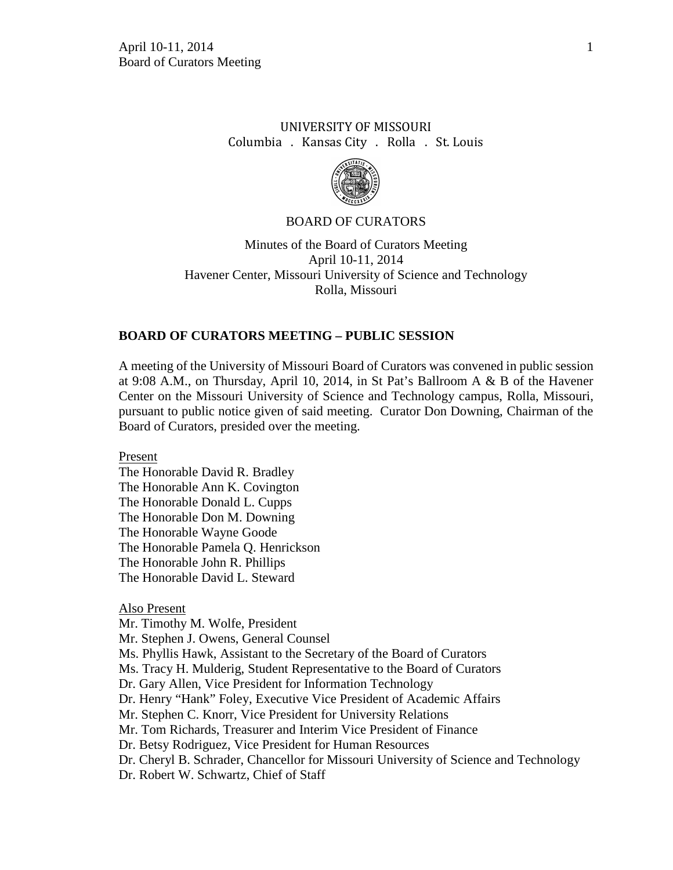# UNIVERSITY OF MISSOURI Columbia . Kansas City . Rolla . St. Louis



### BOARD OF CURATORS

Minutes of the Board of Curators Meeting April 10-11, 2014 Havener Center, Missouri University of Science and Technology Rolla, Missouri

### **BOARD OF CURATORS MEETING – PUBLIC SESSION**

A meeting of the University of Missouri Board of Curators was convened in public session at 9:08 A.M., on Thursday, April 10, 2014, in St Pat's Ballroom A & B of the Havener Center on the Missouri University of Science and Technology campus, Rolla, Missouri, pursuant to public notice given of said meeting. Curator Don Downing, Chairman of the Board of Curators, presided over the meeting.

Present

The Honorable David R. Bradley The Honorable Ann K. Covington The Honorable Donald L. Cupps The Honorable Don M. Downing The Honorable Wayne Goode The Honorable Pamela Q. Henrickson The Honorable John R. Phillips The Honorable David L. Steward

#### Also Present

Mr. Timothy M. Wolfe, President

Mr. Stephen J. Owens, General Counsel

Ms. Phyllis Hawk, Assistant to the Secretary of the Board of Curators

Ms. Tracy H. Mulderig, Student Representative to the Board of Curators

Dr. Gary Allen, Vice President for Information Technology

Dr. Henry "Hank" Foley, Executive Vice President of Academic Affairs

Mr. Stephen C. Knorr, Vice President for University Relations

Mr. Tom Richards, Treasurer and Interim Vice President of Finance

Dr. Betsy Rodriguez, Vice President for Human Resources

Dr. Cheryl B. Schrader, Chancellor for Missouri University of Science and Technology

Dr. Robert W. Schwartz, Chief of Staff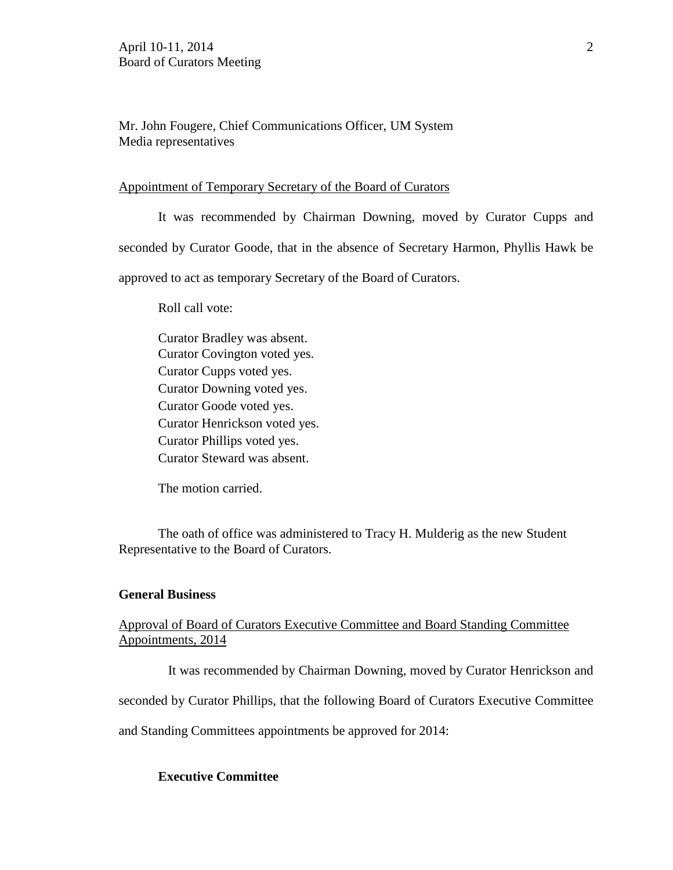Mr. John Fougere, Chief Communications Officer, UM System Media representatives

#### Appointment of Temporary Secretary of the Board of Curators

It was recommended by Chairman Downing, moved by Curator Cupps and seconded by Curator Goode, that in the absence of Secretary Harmon, Phyllis Hawk be approved to act as temporary Secretary of the Board of Curators.

Roll call vote:

Curator Bradley was absent. Curator Covington voted yes. Curator Cupps voted yes. Curator Downing voted yes. Curator Goode voted yes. Curator Henrickson voted yes. Curator Phillips voted yes. Curator Steward was absent.

The motion carried.

The oath of office was administered to Tracy H. Mulderig as the new Student Representative to the Board of Curators.

#### **General Business**

# Approval of Board of Curators Executive Committee and Board Standing Committee Appointments, 2014

It was recommended by Chairman Downing, moved by Curator Henrickson and

seconded by Curator Phillips, that the following Board of Curators Executive Committee

and Standing Committees appointments be approved for 2014:

### **Executive Committee**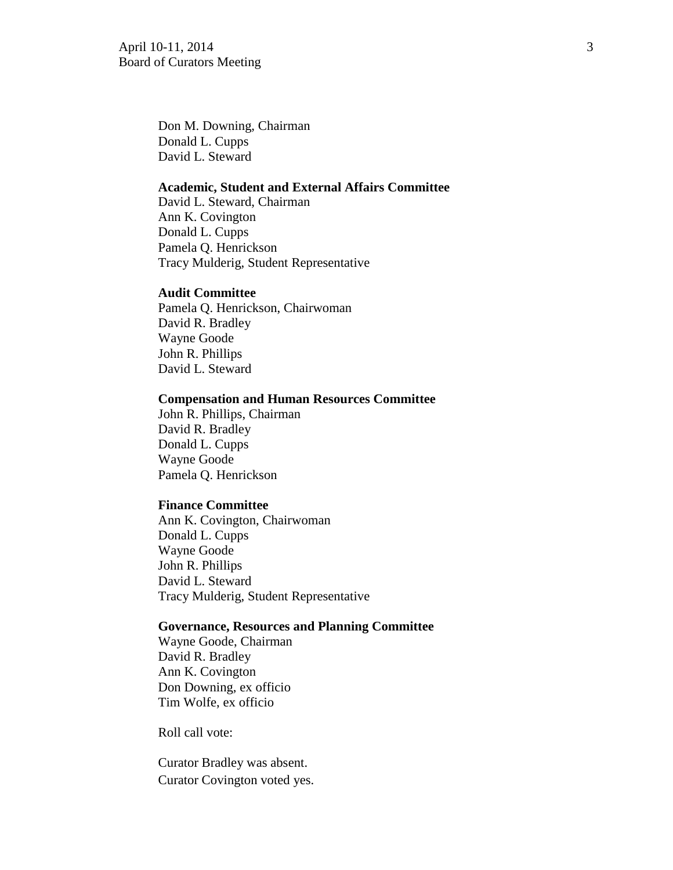April 10-11, 2014 3 Board of Curators Meeting

Don M. Downing, Chairman Donald L. Cupps David L. Steward

#### **Academic, Student and External Affairs Committee**

David L. Steward, Chairman Ann K. Covington Donald L. Cupps Pamela Q. Henrickson Tracy Mulderig, Student Representative

#### **Audit Committee**

Pamela Q. Henrickson, Chairwoman David R. Bradley Wayne Goode John R. Phillips David L. Steward

### **Compensation and Human Resources Committee**

John R. Phillips, Chairman David R. Bradley Donald L. Cupps Wayne Goode Pamela Q. Henrickson

#### **Finance Committee**

Ann K. Covington, Chairwoman Donald L. Cupps Wayne Goode John R. Phillips David L. Steward Tracy Mulderig, Student Representative

#### **Governance, Resources and Planning Committee**

Wayne Goode, Chairman David R. Bradley Ann K. Covington Don Downing, ex officio Tim Wolfe, ex officio

Roll call vote:

Curator Bradley was absent. Curator Covington voted yes.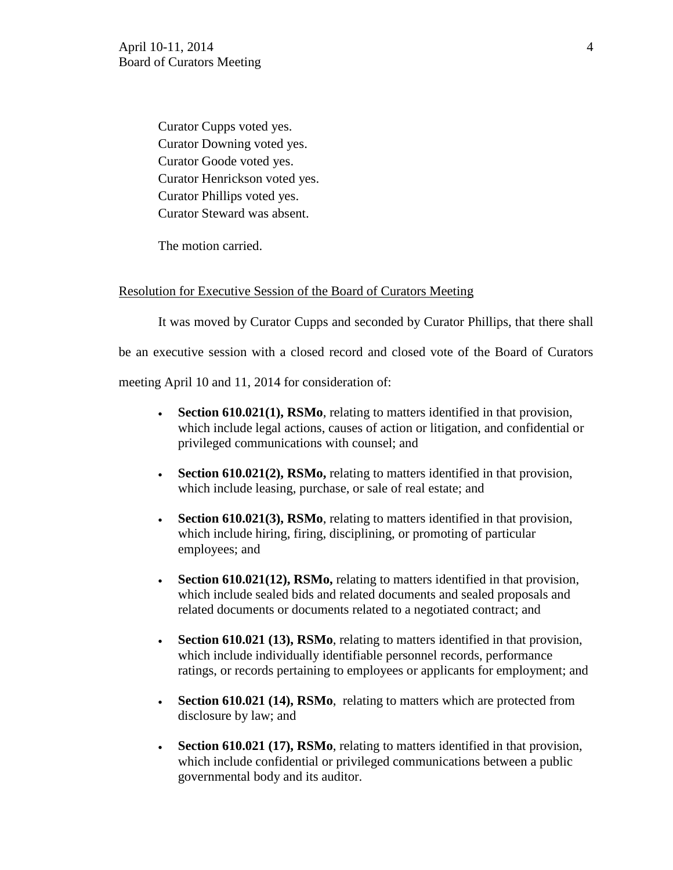Curator Cupps voted yes. Curator Downing voted yes. Curator Goode voted yes. Curator Henrickson voted yes. Curator Phillips voted yes. Curator Steward was absent.

The motion carried.

### Resolution for Executive Session of the Board of Curators Meeting

It was moved by Curator Cupps and seconded by Curator Phillips, that there shall

be an executive session with a closed record and closed vote of the Board of Curators

meeting April 10 and 11, 2014 for consideration of:

- **Section 610.021(1), RSMo**, relating to matters identified in that provision, which include legal actions, causes of action or litigation, and confidential or privileged communications with counsel; and
- **Section 610.021(2), RSMo,** relating to matters identified in that provision, which include leasing, purchase, or sale of real estate; and
- **Section 610.021(3), RSMo**, relating to matters identified in that provision, which include hiring, firing, disciplining, or promoting of particular employees; and
- **Section 610.021(12), RSMo, relating to matters identified in that provision,** which include sealed bids and related documents and sealed proposals and related documents or documents related to a negotiated contract; and
- **Section 610.021 (13), RSMo**, relating to matters identified in that provision, which include individually identifiable personnel records, performance ratings, or records pertaining to employees or applicants for employment; and
- **Section 610.021 (14), RSMo**, relating to matters which are protected from disclosure by law; and
- **Section 610.021 (17), RSMo**, relating to matters identified in that provision, which include confidential or privileged communications between a public governmental body and its auditor.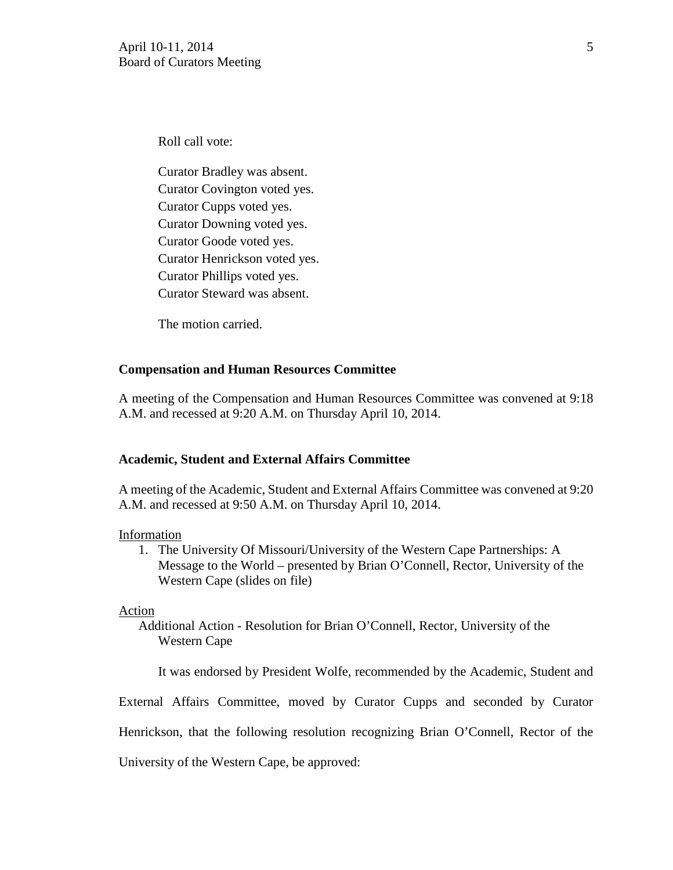Roll call vote:

Curator Bradley was absent. Curator Covington voted yes. Curator Cupps voted yes. Curator Downing voted yes. Curator Goode voted yes. Curator Henrickson voted yes. Curator Phillips voted yes. Curator Steward was absent.

The motion carried.

### **Compensation and Human Resources Committee**

A meeting of the Compensation and Human Resources Committee was convened at 9:18 A.M. and recessed at 9:20 A.M. on Thursday April 10, 2014.

### **Academic, Student and External Affairs Committee**

A meeting of the Academic, Student and External Affairs Committee was convened at 9:20 A.M. and recessed at 9:50 A.M. on Thursday April 10, 2014.

#### Information

1. The University Of Missouri/University of the Western Cape Partnerships: A Message to the World – presented by Brian O'Connell, Rector, University of the Western Cape (slides on file)

#### Action

Additional Action - Resolution for Brian O'Connell, Rector, University of the Western Cape

It was endorsed by President Wolfe, recommended by the Academic, Student and

External Affairs Committee, moved by Curator Cupps and seconded by Curator

Henrickson, that the following resolution recognizing Brian O'Connell, Rector of the

University of the Western Cape, be approved: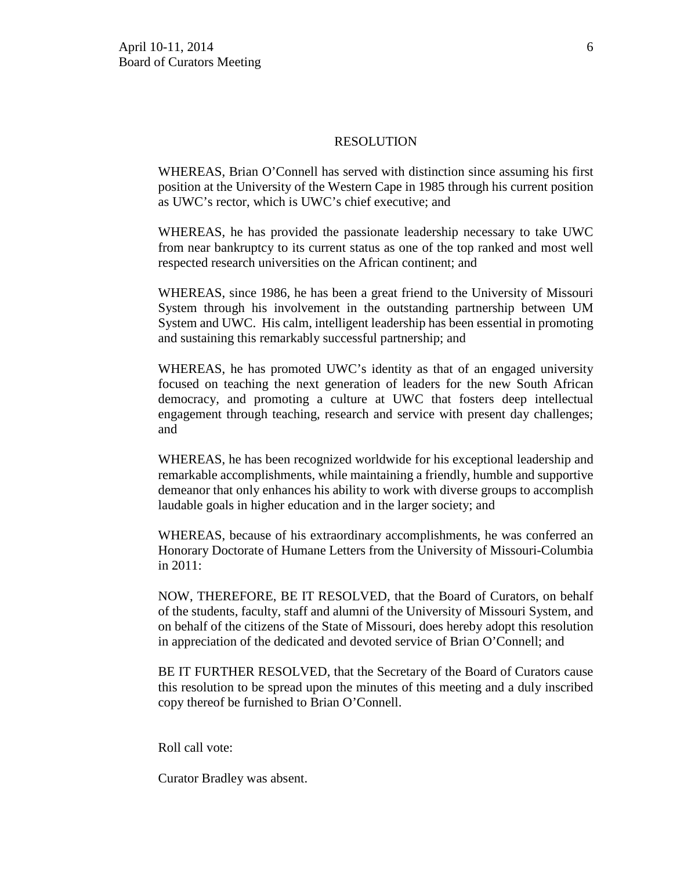#### RESOLUTION

WHEREAS, Brian O'Connell has served with distinction since assuming his first position at the University of the Western Cape in 1985 through his current position as UWC's rector, which is UWC's chief executive; and

WHEREAS, he has provided the passionate leadership necessary to take UWC from near bankruptcy to its current status as one of the top ranked and most well respected research universities on the African continent; and

WHEREAS, since 1986, he has been a great friend to the University of Missouri System through his involvement in the outstanding partnership between UM System and UWC. His calm, intelligent leadership has been essential in promoting and sustaining this remarkably successful partnership; and

WHEREAS, he has promoted UWC's identity as that of an engaged university focused on teaching the next generation of leaders for the new South African democracy, and promoting a culture at UWC that fosters deep intellectual engagement through teaching, research and service with present day challenges; and

WHEREAS, he has been recognized worldwide for his exceptional leadership and remarkable accomplishments, while maintaining a friendly, humble and supportive demeanor that only enhances his ability to work with diverse groups to accomplish laudable goals in higher education and in the larger society; and

WHEREAS, because of his extraordinary accomplishments, he was conferred an Honorary Doctorate of Humane Letters from the University of Missouri-Columbia in 2011:

NOW, THEREFORE, BE IT RESOLVED, that the Board of Curators, on behalf of the students, faculty, staff and alumni of the University of Missouri System, and on behalf of the citizens of the State of Missouri, does hereby adopt this resolution in appreciation of the dedicated and devoted service of Brian O'Connell; and

BE IT FURTHER RESOLVED, that the Secretary of the Board of Curators cause this resolution to be spread upon the minutes of this meeting and a duly inscribed copy thereof be furnished to Brian O'Connell.

Roll call vote:

Curator Bradley was absent.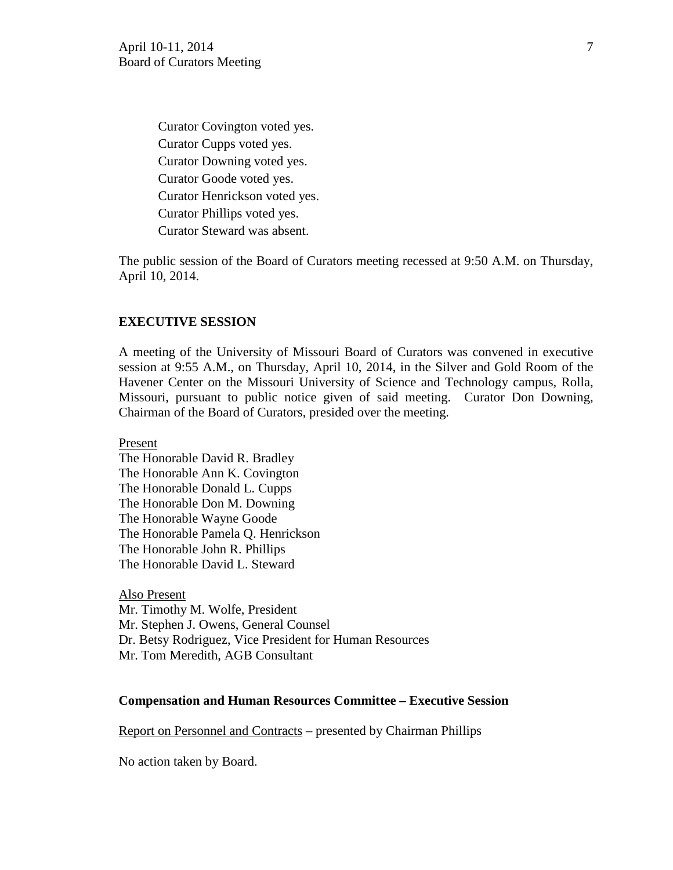Curator Covington voted yes. Curator Cupps voted yes. Curator Downing voted yes. Curator Goode voted yes. Curator Henrickson voted yes. Curator Phillips voted yes. Curator Steward was absent.

The public session of the Board of Curators meeting recessed at 9:50 A.M. on Thursday, April 10, 2014.

#### **EXECUTIVE SESSION**

A meeting of the University of Missouri Board of Curators was convened in executive session at 9:55 A.M., on Thursday, April 10, 2014, in the Silver and Gold Room of the Havener Center on the Missouri University of Science and Technology campus, Rolla, Missouri, pursuant to public notice given of said meeting. Curator Don Downing, Chairman of the Board of Curators, presided over the meeting.

Present

The Honorable David R. Bradley The Honorable Ann K. Covington The Honorable Donald L. Cupps The Honorable Don M. Downing The Honorable Wayne Goode The Honorable Pamela Q. Henrickson The Honorable John R. Phillips The Honorable David L. Steward

Also Present Mr. Timothy M. Wolfe, President Mr. Stephen J. Owens, General Counsel Dr. Betsy Rodriguez, Vice President for Human Resources Mr. Tom Meredith, AGB Consultant

### **Compensation and Human Resources Committee – Executive Session**

Report on Personnel and Contracts – presented by Chairman Phillips

No action taken by Board.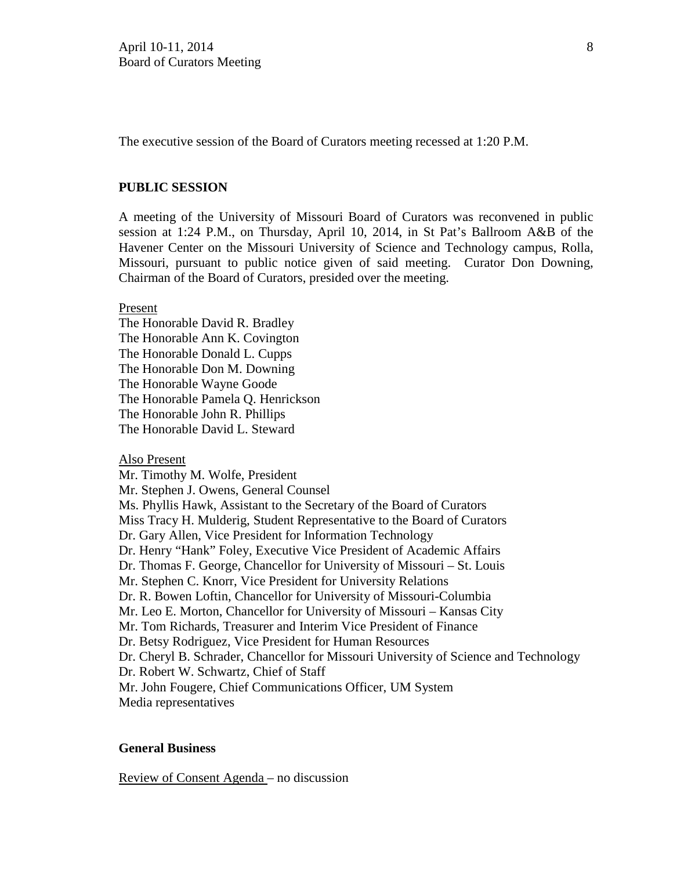The executive session of the Board of Curators meeting recessed at 1:20 P.M.

### **PUBLIC SESSION**

A meeting of the University of Missouri Board of Curators was reconvened in public session at 1:24 P.M., on Thursday, April 10, 2014, in St Pat's Ballroom A&B of the Havener Center on the Missouri University of Science and Technology campus, Rolla, Missouri, pursuant to public notice given of said meeting. Curator Don Downing, Chairman of the Board of Curators, presided over the meeting.

### Present

The Honorable David R. Bradley The Honorable Ann K. Covington The Honorable Donald L. Cupps The Honorable Don M. Downing The Honorable Wayne Goode The Honorable Pamela Q. Henrickson The Honorable John R. Phillips The Honorable David L. Steward

#### Also Present

Mr. Timothy M. Wolfe, President Mr. Stephen J. Owens, General Counsel Ms. Phyllis Hawk, Assistant to the Secretary of the Board of Curators Miss Tracy H. Mulderig, Student Representative to the Board of Curators Dr. Gary Allen, Vice President for Information Technology Dr. Henry "Hank" Foley, Executive Vice President of Academic Affairs Dr. Thomas F. George, Chancellor for University of Missouri – St. Louis Mr. Stephen C. Knorr, Vice President for University Relations Dr. R. Bowen Loftin, Chancellor for University of Missouri-Columbia Mr. Leo E. Morton, Chancellor for University of Missouri – Kansas City Mr. Tom Richards, Treasurer and Interim Vice President of Finance Dr. Betsy Rodriguez, Vice President for Human Resources Dr. Cheryl B. Schrader, Chancellor for Missouri University of Science and Technology Dr. Robert W. Schwartz, Chief of Staff Mr. John Fougere, Chief Communications Officer, UM System Media representatives

#### **General Business**

Review of Consent Agenda – no discussion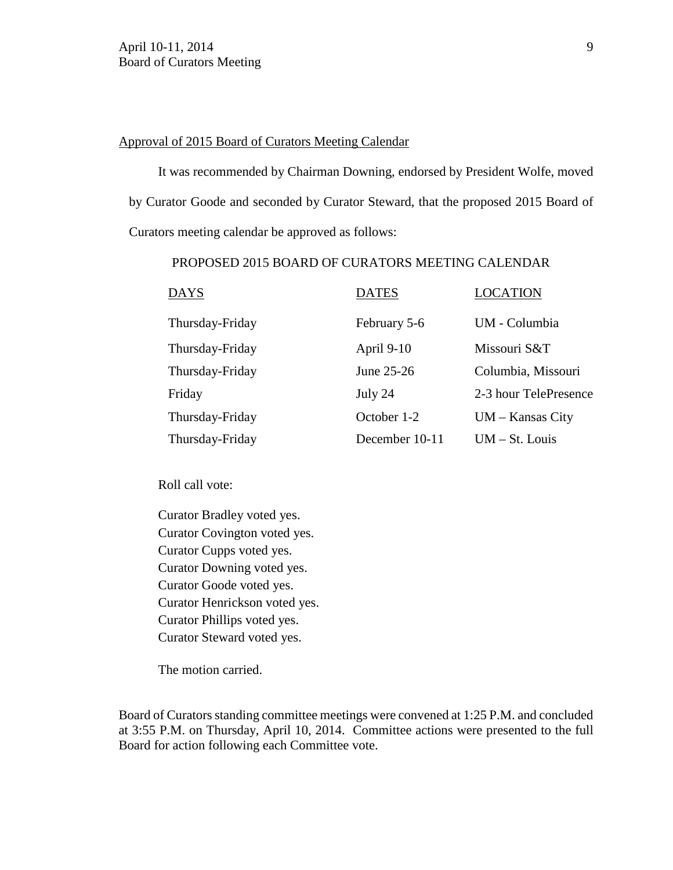### Approval of 2015 Board of Curators Meeting Calendar

It was recommended by Chairman Downing, endorsed by President Wolfe, moved by Curator Goode and seconded by Curator Steward, that the proposed 2015 Board of Curators meeting calendar be approved as follows:

## PROPOSED 2015 BOARD OF CURATORS MEETING CALENDAR

| <b>DAYS</b>     | <b>DATES</b>   | <b>LOCATION</b>       |
|-----------------|----------------|-----------------------|
| Thursday-Friday | February 5-6   | UM - Columbia         |
| Thursday-Friday | April 9-10     | Missouri S&T          |
| Thursday-Friday | June 25-26     | Columbia, Missouri    |
| Friday          | July 24        | 2-3 hour TelePresence |
| Thursday-Friday | October 1-2    | $UM - Kansas City$    |
| Thursday-Friday | December 10-11 | $UM - St. Louis$      |

Roll call vote:

Curator Bradley voted yes. Curator Covington voted yes. Curator Cupps voted yes. Curator Downing voted yes. Curator Goode voted yes. Curator Henrickson voted yes. Curator Phillips voted yes. Curator Steward voted yes.

The motion carried.

Board of Curators standing committee meetings were convened at 1:25 P.M. and concluded at 3:55 P.M. on Thursday, April 10, 2014. Committee actions were presented to the full Board for action following each Committee vote.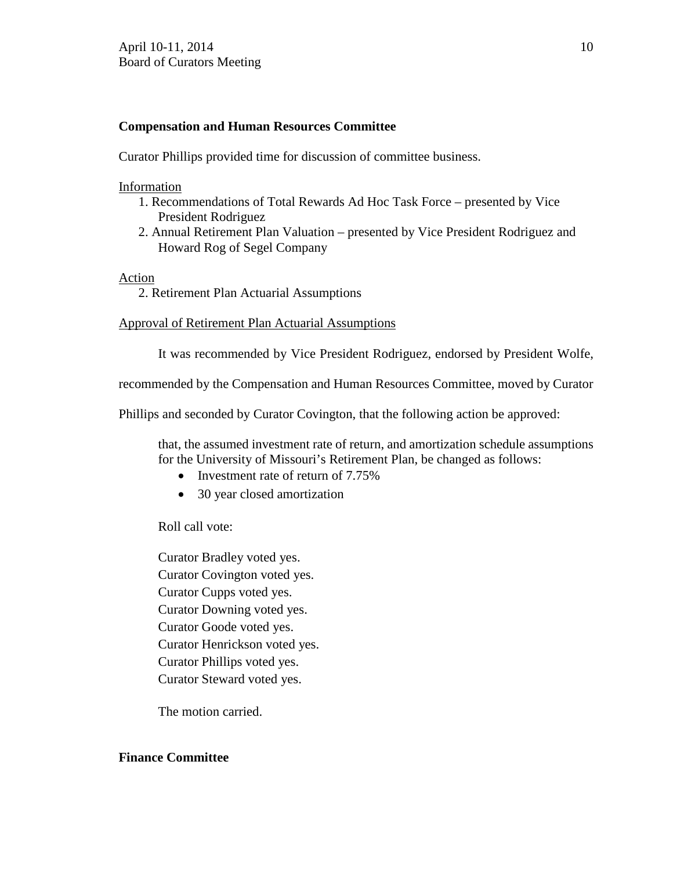## **Compensation and Human Resources Committee**

Curator Phillips provided time for discussion of committee business.

## Information

- 1. Recommendations of Total Rewards Ad Hoc Task Force presented by Vice President Rodriguez
- 2. Annual Retirement Plan Valuation presented by Vice President Rodriguez and Howard Rog of Segel Company

## Action

2. Retirement Plan Actuarial Assumptions

Approval of Retirement Plan Actuarial Assumptions

It was recommended by Vice President Rodriguez, endorsed by President Wolfe,

recommended by the Compensation and Human Resources Committee, moved by Curator

Phillips and seconded by Curator Covington, that the following action be approved:

that, the assumed investment rate of return, and amortization schedule assumptions for the University of Missouri's Retirement Plan, be changed as follows:

- Investment rate of return of 7.75%
- 30 year closed amortization

Roll call vote:

Curator Bradley voted yes. Curator Covington voted yes. Curator Cupps voted yes. Curator Downing voted yes. Curator Goode voted yes. Curator Henrickson voted yes. Curator Phillips voted yes. Curator Steward voted yes.

The motion carried.

## **Finance Committee**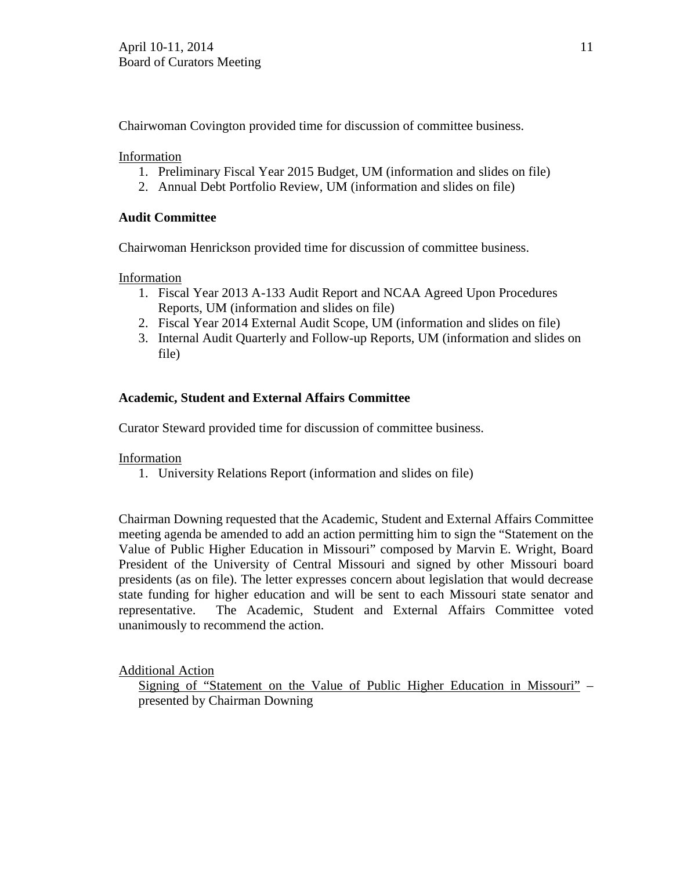Chairwoman Covington provided time for discussion of committee business.

Information

- 1. Preliminary Fiscal Year 2015 Budget, UM (information and slides on file)
- 2. Annual Debt Portfolio Review, UM (information and slides on file)

# **Audit Committee**

Chairwoman Henrickson provided time for discussion of committee business.

Information

- 1. Fiscal Year 2013 A-133 Audit Report and NCAA Agreed Upon Procedures Reports, UM (information and slides on file)
- 2. Fiscal Year 2014 External Audit Scope, UM (information and slides on file)
- 3. Internal Audit Quarterly and Follow-up Reports, UM (information and slides on file)

# **Academic, Student and External Affairs Committee**

Curator Steward provided time for discussion of committee business.

# Information

1. University Relations Report (information and slides on file)

Chairman Downing requested that the Academic, Student and External Affairs Committee meeting agenda be amended to add an action permitting him to sign the "Statement on the Value of Public Higher Education in Missouri" composed by Marvin E. Wright, Board President of the University of Central Missouri and signed by other Missouri board presidents (as on file). The letter expresses concern about legislation that would decrease state funding for higher education and will be sent to each Missouri state senator and representative. The Academic, Student and External Affairs Committee voted unanimously to recommend the action.

Additional Action

Signing of "Statement on the Value of Public Higher Education in Missouri" – presented by Chairman Downing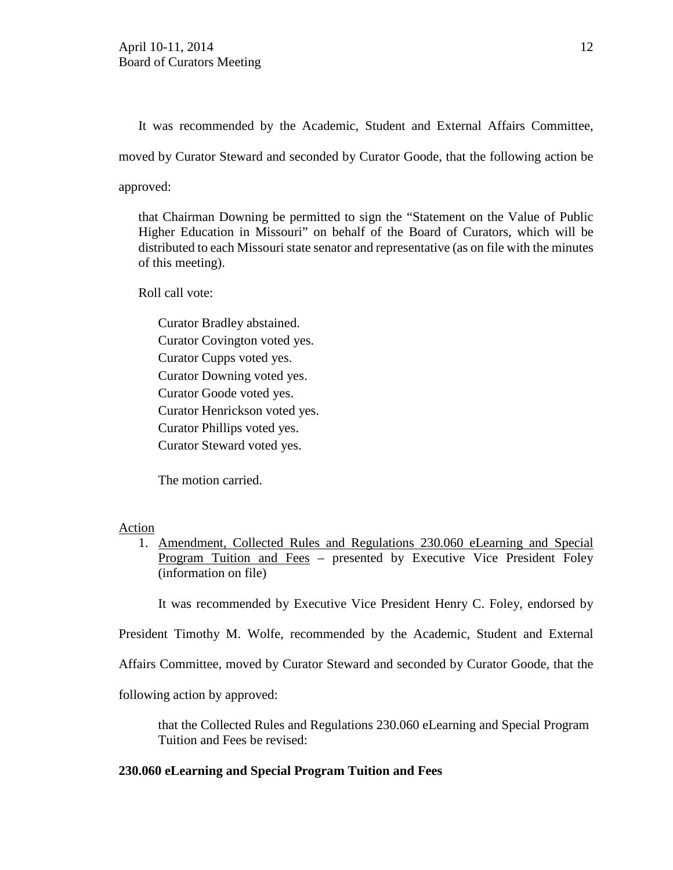It was recommended by the Academic, Student and External Affairs Committee,

moved by Curator Steward and seconded by Curator Goode, that the following action be

approved:

that Chairman Downing be permitted to sign the "Statement on the Value of Public Higher Education in Missouri" on behalf of the Board of Curators, which will be distributed to each Missouri state senator and representative (as on file with the minutes of this meeting).

Roll call vote:

Curator Bradley abstained. Curator Covington voted yes. Curator Cupps voted yes. Curator Downing voted yes. Curator Goode voted yes. Curator Henrickson voted yes. Curator Phillips voted yes. Curator Steward voted yes.

The motion carried.

### Action

1. Amendment, Collected Rules and Regulations 230.060 eLearning and Special Program Tuition and Fees – presented by Executive Vice President Foley (information on file)

It was recommended by Executive Vice President Henry C. Foley, endorsed by

President Timothy M. Wolfe, recommended by the Academic, Student and External

Affairs Committee, moved by Curator Steward and seconded by Curator Goode, that the

following action by approved:

that the Collected Rules and Regulations 230.060 eLearning and Special Program Tuition and Fees be revised:

## **230.060 eLearning and Special Program Tuition and Fees**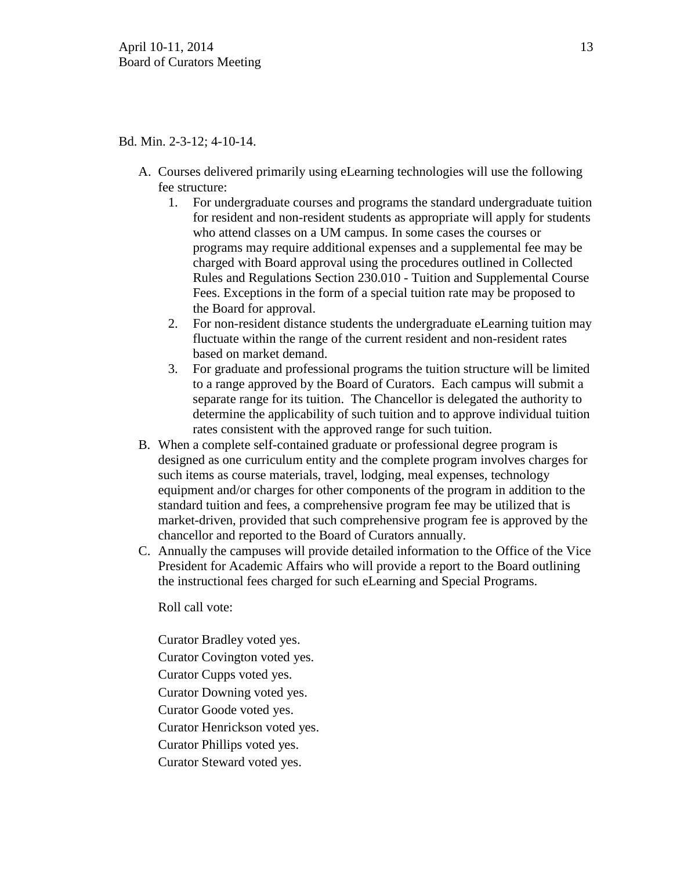### Bd. Min. 2-3-12; 4-10-14.

- A. Courses delivered primarily using eLearning technologies will use the following fee structure:
	- 1. For undergraduate courses and programs the standard undergraduate tuition for resident and non-resident students as appropriate will apply for students who attend classes on a UM campus. In some cases the courses or programs may require additional expenses and a supplemental fee may be charged with Board approval using the procedures outlined in Collected Rules and Regulations Section 230.010 - Tuition and Supplemental Course Fees. Exceptions in the form of a special tuition rate may be proposed to the Board for approval.
	- 2. For non-resident distance students the undergraduate eLearning tuition may fluctuate within the range of the current resident and non-resident rates based on market demand.
	- 3. For graduate and professional programs the tuition structure will be limited to a range approved by the Board of Curators. Each campus will submit a separate range for its tuition. The Chancellor is delegated the authority to determine the applicability of such tuition and to approve individual tuition rates consistent with the approved range for such tuition.
- B. When a complete self-contained graduate or professional degree program is designed as one curriculum entity and the complete program involves charges for such items as course materials, travel, lodging, meal expenses, technology equipment and/or charges for other components of the program in addition to the standard tuition and fees, a comprehensive program fee may be utilized that is market-driven, provided that such comprehensive program fee is approved by the chancellor and reported to the Board of Curators annually.
- C. Annually the campuses will provide detailed information to the Office of the Vice President for Academic Affairs who will provide a report to the Board outlining the instructional fees charged for such eLearning and Special Programs.

Roll call vote:

Curator Bradley voted yes.

Curator Covington voted yes.

Curator Cupps voted yes.

Curator Downing voted yes.

Curator Goode voted yes.

Curator Henrickson voted yes.

Curator Phillips voted yes.

Curator Steward voted yes.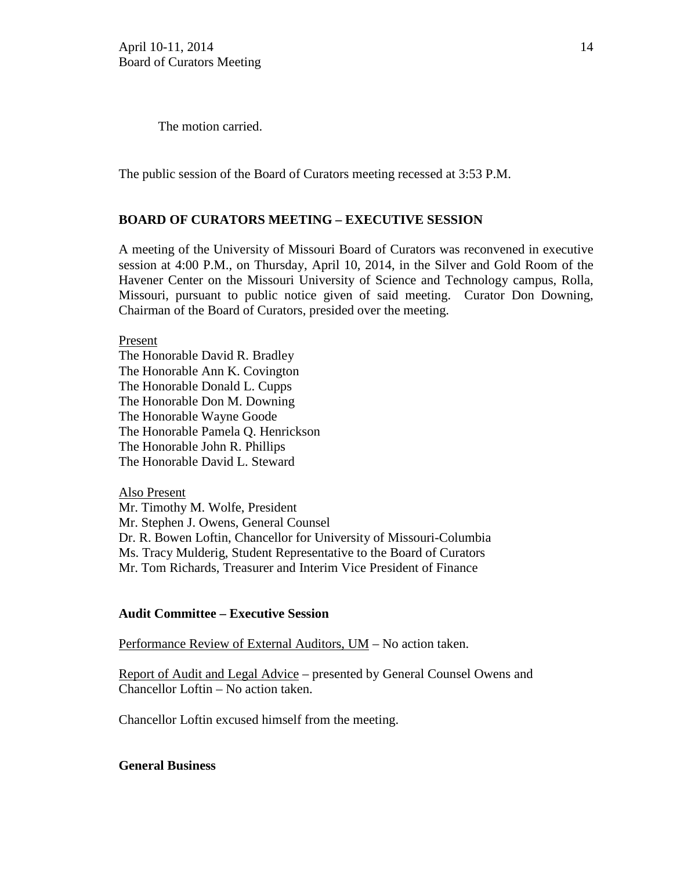The motion carried.

The public session of the Board of Curators meeting recessed at 3:53 P.M.

### **BOARD OF CURATORS MEETING – EXECUTIVE SESSION**

A meeting of the University of Missouri Board of Curators was reconvened in executive session at 4:00 P.M., on Thursday, April 10, 2014, in the Silver and Gold Room of the Havener Center on the Missouri University of Science and Technology campus, Rolla, Missouri, pursuant to public notice given of said meeting. Curator Don Downing, Chairman of the Board of Curators, presided over the meeting.

Present The Honorable David R. Bradley The Honorable Ann K. Covington The Honorable Donald L. Cupps The Honorable Don M. Downing The Honorable Wayne Goode The Honorable Pamela Q. Henrickson The Honorable John R. Phillips The Honorable David L. Steward

Also Present Mr. Timothy M. Wolfe, President Mr. Stephen J. Owens, General Counsel Dr. R. Bowen Loftin, Chancellor for University of Missouri-Columbia Ms. Tracy Mulderig, Student Representative to the Board of Curators Mr. Tom Richards, Treasurer and Interim Vice President of Finance

### **Audit Committee – Executive Session**

Performance Review of External Auditors, UM - No action taken.

Report of Audit and Legal Advice – presented by General Counsel Owens and Chancellor Loftin – No action taken.

Chancellor Loftin excused himself from the meeting.

### **General Business**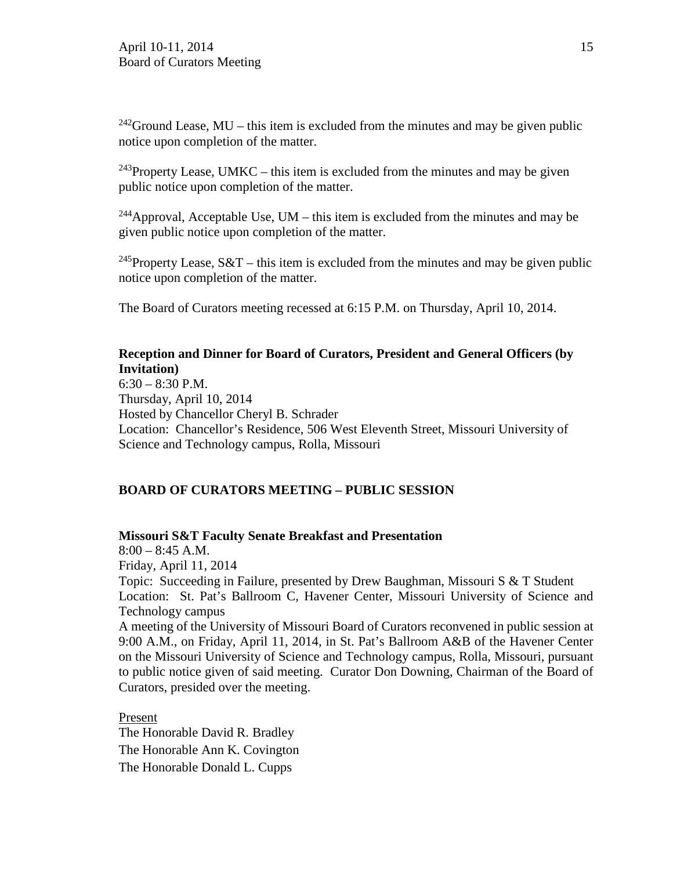$242$ Ground Lease, MU – this item is excluded from the minutes and may be given public notice upon completion of the matter.

<sup>243</sup>Property Lease, UMKC – this item is excluded from the minutes and may be given public notice upon completion of the matter.

<sup>244</sup>Approval, Acceptable Use, UM – this item is excluded from the minutes and may be given public notice upon completion of the matter.

<sup>245</sup>Property Lease,  $S&T$  – this item is excluded from the minutes and may be given public notice upon completion of the matter.

The Board of Curators meeting recessed at 6:15 P.M. on Thursday, April 10, 2014.

### **Reception and Dinner for Board of Curators, President and General Officers (by Invitation)**

6:30 – 8:30 P.M. Thursday, April 10, 2014 Hosted by Chancellor Cheryl B. Schrader Location: Chancellor's Residence, 506 West Eleventh Street, Missouri University of Science and Technology campus, Rolla, Missouri

## **BOARD OF CURATORS MEETING – PUBLIC SESSION**

### **Missouri S&T Faculty Senate Breakfast and Presentation**

 $8:00 - 8:45$  A.M. Friday, April 11, 2014 Topic: Succeeding in Failure, presented by Drew Baughman, Missouri S & T Student Location: St. Pat's Ballroom C, Havener Center, Missouri University of Science and Technology campus A meeting of the University of Missouri Board of Curators reconvened in public session at 9:00 A.M., on Friday, April 11, 2014, in St. Pat's Ballroom A&B of the Havener Center on the Missouri University of Science and Technology campus, Rolla, Missouri, pursuant to public notice given of said meeting. Curator Don Downing, Chairman of the Board of Curators, presided over the meeting.

Present The Honorable David R. Bradley The Honorable Ann K. Covington The Honorable Donald L. Cupps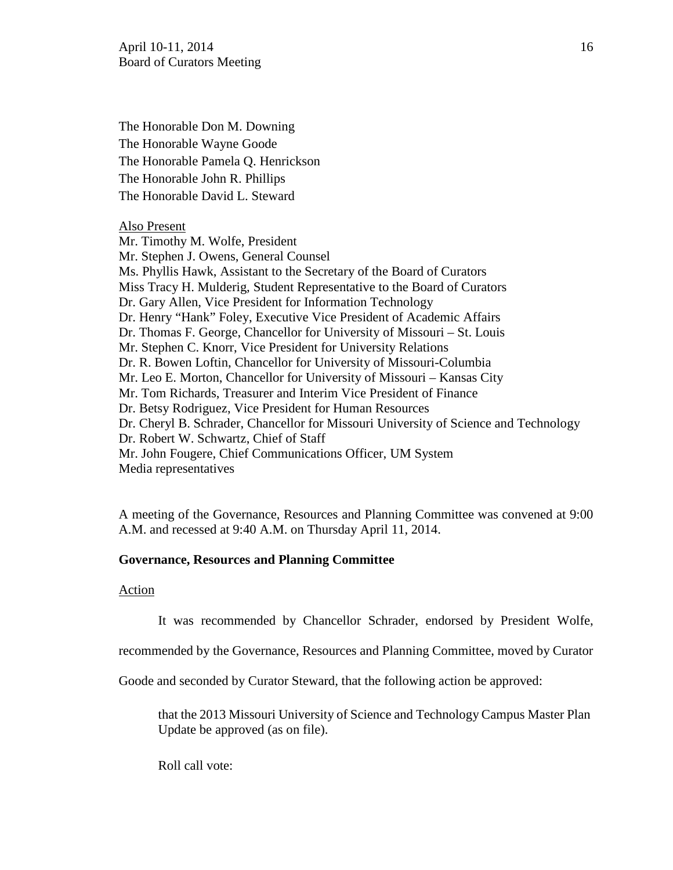The Honorable Don M. Downing The Honorable Wayne Goode The Honorable Pamela Q. Henrickson The Honorable John R. Phillips The Honorable David L. Steward

#### Also Present

Mr. Timothy M. Wolfe, President Mr. Stephen J. Owens, General Counsel Ms. Phyllis Hawk, Assistant to the Secretary of the Board of Curators Miss Tracy H. Mulderig, Student Representative to the Board of Curators Dr. Gary Allen, Vice President for Information Technology Dr. Henry "Hank" Foley, Executive Vice President of Academic Affairs Dr. Thomas F. George, Chancellor for University of Missouri – St. Louis Mr. Stephen C. Knorr, Vice President for University Relations Dr. R. Bowen Loftin, Chancellor for University of Missouri-Columbia Mr. Leo E. Morton, Chancellor for University of Missouri – Kansas City Mr. Tom Richards, Treasurer and Interim Vice President of Finance Dr. Betsy Rodriguez, Vice President for Human Resources Dr. Cheryl B. Schrader, Chancellor for Missouri University of Science and Technology Dr. Robert W. Schwartz, Chief of Staff Mr. John Fougere, Chief Communications Officer, UM System Media representatives

A meeting of the Governance, Resources and Planning Committee was convened at 9:00 A.M. and recessed at 9:40 A.M. on Thursday April 11, 2014.

### **Governance, Resources and Planning Committee**

#### Action

It was recommended by Chancellor Schrader, endorsed by President Wolfe,

recommended by the Governance, Resources and Planning Committee, moved by Curator

Goode and seconded by Curator Steward, that the following action be approved:

that the 2013 Missouri University of Science and Technology Campus Master Plan Update be approved (as on file).

Roll call vote: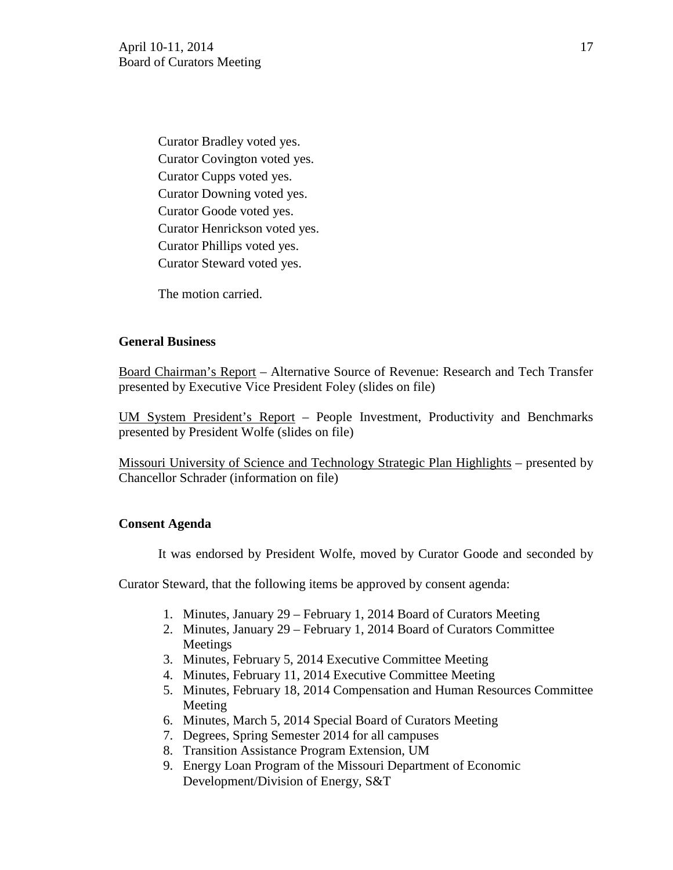Curator Bradley voted yes. Curator Covington voted yes. Curator Cupps voted yes. Curator Downing voted yes. Curator Goode voted yes. Curator Henrickson voted yes. Curator Phillips voted yes. Curator Steward voted yes.

The motion carried.

## **General Business**

Board Chairman's Report – Alternative Source of Revenue: Research and Tech Transfer presented by Executive Vice President Foley (slides on file)

UM System President's Report – People Investment, Productivity and Benchmarks presented by President Wolfe (slides on file)

Missouri University of Science and Technology Strategic Plan Highlights – presented by Chancellor Schrader (information on file)

## **Consent Agenda**

It was endorsed by President Wolfe, moved by Curator Goode and seconded by

Curator Steward, that the following items be approved by consent agenda:

- 1. Minutes, January 29 February 1, 2014 Board of Curators Meeting
- 2. Minutes, January 29 February 1, 2014 Board of Curators Committee Meetings
- 3. Minutes, February 5, 2014 Executive Committee Meeting
- 4. Minutes, February 11, 2014 Executive Committee Meeting
- 5. Minutes, February 18, 2014 Compensation and Human Resources Committee Meeting
- 6. Minutes, March 5, 2014 Special Board of Curators Meeting
- 7. Degrees, Spring Semester 2014 for all campuses
- 8. Transition Assistance Program Extension, UM
- 9. Energy Loan Program of the Missouri Department of Economic Development/Division of Energy, S&T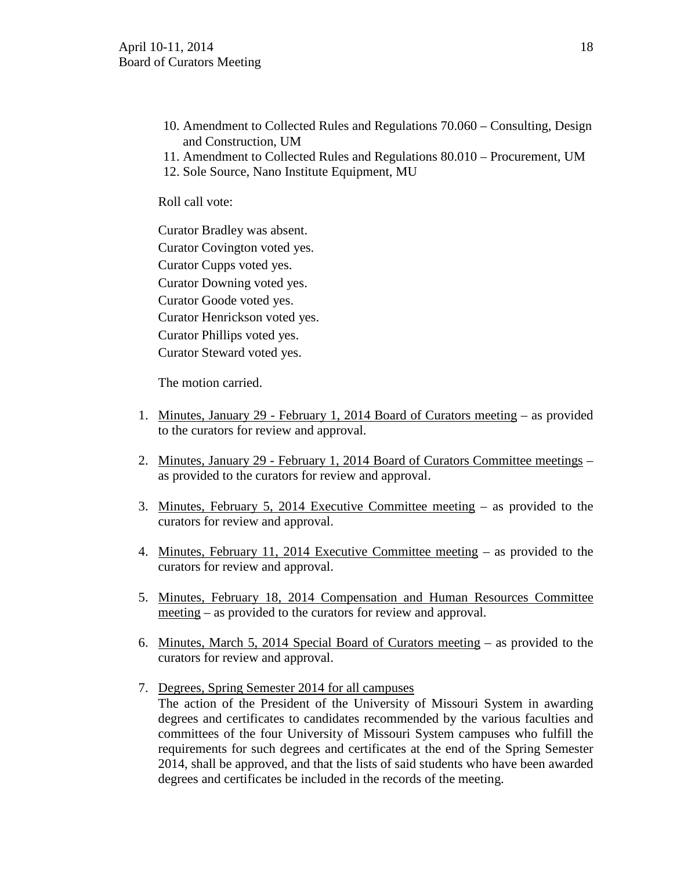- 10. Amendment to Collected Rules and Regulations 70.060 Consulting, Design and Construction, UM
- 11. Amendment to Collected Rules and Regulations 80.010 Procurement, UM
- 12. Sole Source, Nano Institute Equipment, MU

Roll call vote:

Curator Bradley was absent. Curator Covington voted yes. Curator Cupps voted yes. Curator Downing voted yes. Curator Goode voted yes. Curator Henrickson voted yes. Curator Phillips voted yes. Curator Steward voted yes.

The motion carried.

- 1. Minutes, January 29 February 1, 2014 Board of Curators meeting as provided to the curators for review and approval.
- 2. Minutes, January 29 February 1, 2014 Board of Curators Committee meetings as provided to the curators for review and approval.
- 3. Minutes, February 5, 2014 Executive Committee meeting as provided to the curators for review and approval.
- 4. Minutes, February 11, 2014 Executive Committee meeting as provided to the curators for review and approval.
- 5. Minutes, February 18, 2014 Compensation and Human Resources Committee meeting – as provided to the curators for review and approval.
- 6. Minutes, March 5, 2014 Special Board of Curators meeting as provided to the curators for review and approval.
- 7. Degrees, Spring Semester 2014 for all campuses The action of the President of the University of Missouri System in awarding degrees and certificates to candidates recommended by the various faculties and committees of the four University of Missouri System campuses who fulfill the requirements for such degrees and certificates at the end of the Spring Semester 2014, shall be approved, and that the lists of said students who have been awarded degrees and certificates be included in the records of the meeting.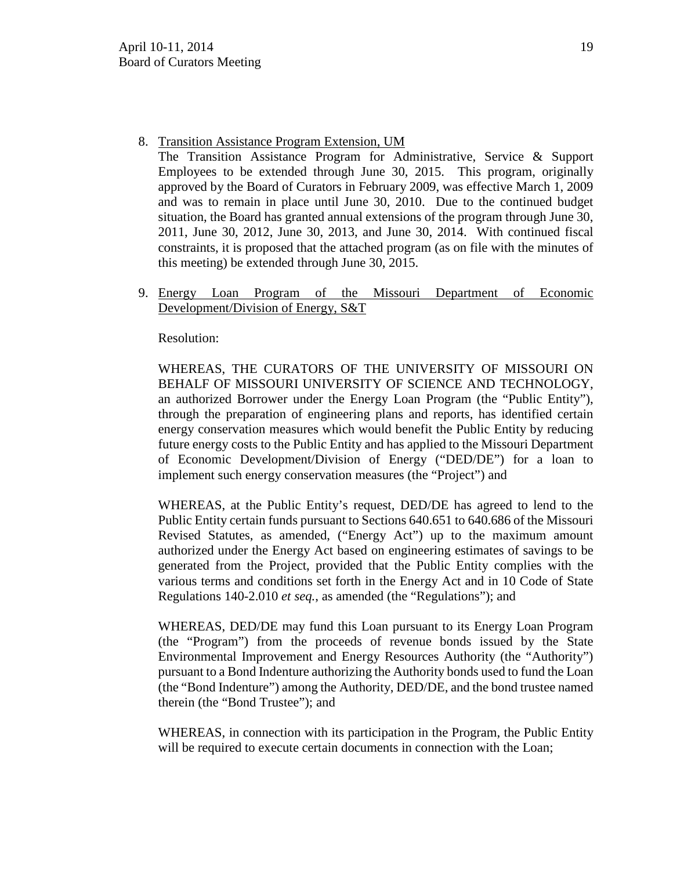8. Transition Assistance Program Extension, UM

The Transition Assistance Program for Administrative, Service & Support Employees to be extended through June 30, 2015. This program, originally approved by the Board of Curators in February 2009, was effective March 1, 2009 and was to remain in place until June 30, 2010. Due to the continued budget situation, the Board has granted annual extensions of the program through June 30, 2011, June 30, 2012, June 30, 2013, and June 30, 2014. With continued fiscal constraints, it is proposed that the attached program (as on file with the minutes of this meeting) be extended through June 30, 2015.

9. Energy Loan Program of the Missouri Department of Economic Development/Division of Energy, S&T

Resolution:

WHEREAS, THE CURATORS OF THE UNIVERSITY OF MISSOURI ON BEHALF OF MISSOURI UNIVERSITY OF SCIENCE AND TECHNOLOGY, an authorized Borrower under the Energy Loan Program (the "Public Entity"), through the preparation of engineering plans and reports, has identified certain energy conservation measures which would benefit the Public Entity by reducing future energy costs to the Public Entity and has applied to the Missouri Department of Economic Development/Division of Energy ("DED/DE") for a loan to implement such energy conservation measures (the "Project") and

WHEREAS, at the Public Entity's request, DED/DE has agreed to lend to the Public Entity certain funds pursuant to Sections 640.651 to 640.686 of the Missouri Revised Statutes, as amended, ("Energy Act") up to the maximum amount authorized under the Energy Act based on engineering estimates of savings to be generated from the Project, provided that the Public Entity complies with the various terms and conditions set forth in the Energy Act and in 10 Code of State Regulations 140-2.010 *et seq.*, as amended (the "Regulations"); and

WHEREAS, DED/DE may fund this Loan pursuant to its Energy Loan Program (the "Program") from the proceeds of revenue bonds issued by the State Environmental Improvement and Energy Resources Authority (the "Authority") pursuant to a Bond Indenture authorizing the Authority bonds used to fund the Loan (the "Bond Indenture") among the Authority, DED/DE, and the bond trustee named therein (the "Bond Trustee"); and

WHEREAS, in connection with its participation in the Program, the Public Entity will be required to execute certain documents in connection with the Loan;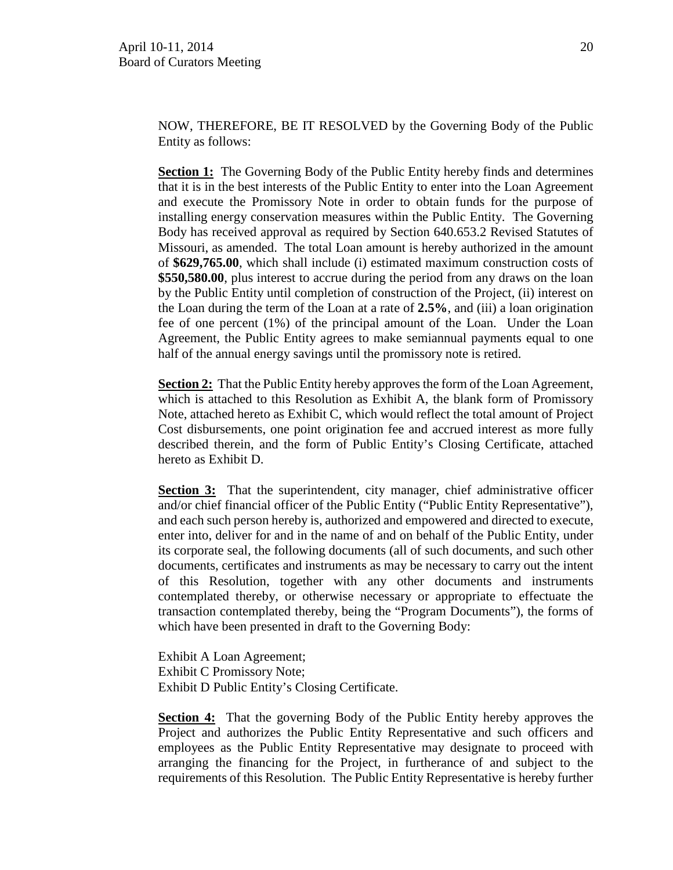NOW, THEREFORE, BE IT RESOLVED by the Governing Body of the Public Entity as follows:

**Section 1:** The Governing Body of the Public Entity hereby finds and determines that it is in the best interests of the Public Entity to enter into the Loan Agreement and execute the Promissory Note in order to obtain funds for the purpose of installing energy conservation measures within the Public Entity. The Governing Body has received approval as required by Section 640.653.2 Revised Statutes of Missouri, as amended. The total Loan amount is hereby authorized in the amount of **\$629,765.00**, which shall include (i) estimated maximum construction costs of **\$550,580.00**, plus interest to accrue during the period from any draws on the loan by the Public Entity until completion of construction of the Project, (ii) interest on the Loan during the term of the Loan at a rate of **2.5%**, and (iii) a loan origination fee of one percent (1%) of the principal amount of the Loan. Under the Loan Agreement, the Public Entity agrees to make semiannual payments equal to one half of the annual energy savings until the promissory note is retired.

**Section 2:** That the Public Entity hereby approves the form of the Loan Agreement, which is attached to this Resolution as Exhibit A, the blank form of Promissory Note, attached hereto as Exhibit C, which would reflect the total amount of Project Cost disbursements, one point origination fee and accrued interest as more fully described therein, and the form of Public Entity's Closing Certificate, attached hereto as Exhibit D.

**Section 3:** That the superintendent, city manager, chief administrative officer and/or chief financial officer of the Public Entity ("Public Entity Representative"), and each such person hereby is, authorized and empowered and directed to execute, enter into, deliver for and in the name of and on behalf of the Public Entity, under its corporate seal, the following documents (all of such documents, and such other documents, certificates and instruments as may be necessary to carry out the intent of this Resolution, together with any other documents and instruments contemplated thereby, or otherwise necessary or appropriate to effectuate the transaction contemplated thereby, being the "Program Documents"), the forms of which have been presented in draft to the Governing Body:

Exhibit A Loan Agreement; Exhibit C Promissory Note; Exhibit D Public Entity's Closing Certificate.

**Section 4:** That the governing Body of the Public Entity hereby approves the Project and authorizes the Public Entity Representative and such officers and employees as the Public Entity Representative may designate to proceed with arranging the financing for the Project, in furtherance of and subject to the requirements of this Resolution. The Public Entity Representative is hereby further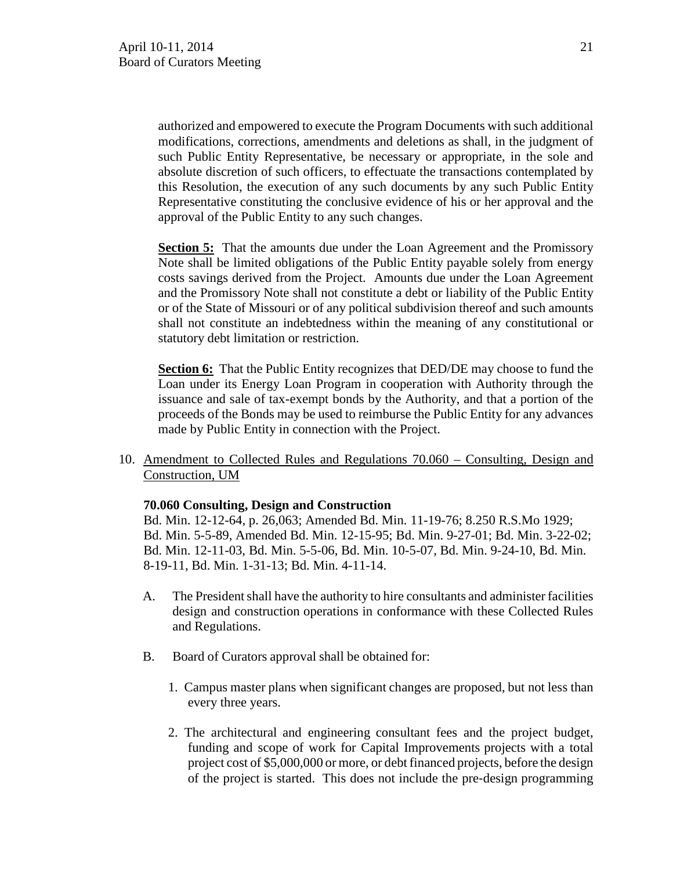authorized and empowered to execute the Program Documents with such additional modifications, corrections, amendments and deletions as shall, in the judgment of such Public Entity Representative, be necessary or appropriate, in the sole and absolute discretion of such officers, to effectuate the transactions contemplated by this Resolution, the execution of any such documents by any such Public Entity Representative constituting the conclusive evidence of his or her approval and the approval of the Public Entity to any such changes.

**Section 5:** That the amounts due under the Loan Agreement and the Promissory Note shall be limited obligations of the Public Entity payable solely from energy costs savings derived from the Project. Amounts due under the Loan Agreement and the Promissory Note shall not constitute a debt or liability of the Public Entity or of the State of Missouri or of any political subdivision thereof and such amounts shall not constitute an indebtedness within the meaning of any constitutional or statutory debt limitation or restriction.

**Section 6:** That the Public Entity recognizes that DED/DE may choose to fund the Loan under its Energy Loan Program in cooperation with Authority through the issuance and sale of tax-exempt bonds by the Authority, and that a portion of the proceeds of the Bonds may be used to reimburse the Public Entity for any advances made by Public Entity in connection with the Project.

10. Amendment to Collected Rules and Regulations 70.060 – Consulting, Design and Construction, UM

## **70.060 Consulting, Design and Construction**

Bd. Min. 12-12-64, p. 26,063; Amended Bd. Min. 11-19-76; 8.250 R.S.Mo 1929; Bd. Min. 5-5-89, Amended Bd. Min. 12-15-95; Bd. Min. 9-27-01; Bd. Min. 3-22-02; Bd. Min. 12-11-03, Bd. Min. 5-5-06, Bd. Min. 10-5-07, Bd. Min. 9-24-10, Bd. Min. 8-19-11, Bd. Min. 1-31-13; Bd. Min. 4-11-14.

- A. The President shall have the authority to hire consultants and administer facilities design and construction operations in conformance with these Collected Rules and Regulations.
- B. Board of Curators approval shall be obtained for:
	- 1. Campus master plans when significant changes are proposed, but not less than every three years.
	- 2. The architectural and engineering consultant fees and the project budget, funding and scope of work for Capital Improvements projects with a total project cost of \$5,000,000 or more, or debt financed projects, before the design of the project is started. This does not include the pre‐design programming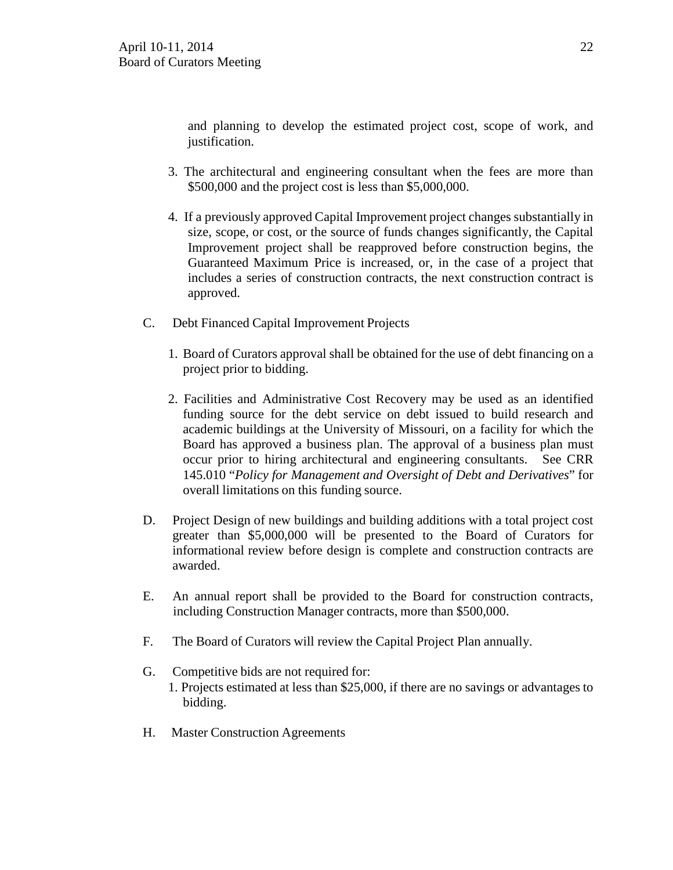and planning to develop the estimated project cost, scope of work, and justification.

- 3. The architectural and engineering consultant when the fees are more than \$500,000 and the project cost is less than \$5,000,000.
- 4. If a previously approved Capital Improvement project changes substantially in size, scope, or cost, or the source of funds changes significantly, the Capital Improvement project shall be reapproved before construction begins, the Guaranteed Maximum Price is increased, or, in the case of a project that includes a series of construction contracts, the next construction contract is approved.
- C. Debt Financed Capital Improvement Projects
	- 1. Board of Curators approval shall be obtained for the use of debt financing on a project prior to bidding.
	- 2. Facilities and Administrative Cost Recovery may be used as an identified funding source for the debt service on debt issued to build research and academic buildings at the University of Missouri, on a facility for which the Board has approved a business plan. The approval of a business plan must occur prior to hiring architectural and engineering consultants. See CRR 145.010 "*Policy for Management and Oversight of Debt and Derivatives*" for overall limitations on this funding source.
- D. Project Design of new buildings and building additions with a total project cost greater than \$5,000,000 will be presented to the Board of Curators for informational review before design is complete and construction contracts are awarded.
- E. An annual report shall be provided to the Board for construction contracts, including Construction Manager contracts, more than \$500,000.
- F. The Board of Curators will review the Capital Project Plan annually.
- G. Competitive bids are not required for: 1. Projects estimated at less than \$25,000, if there are no savings or advantages to bidding.
- H. Master Construction Agreements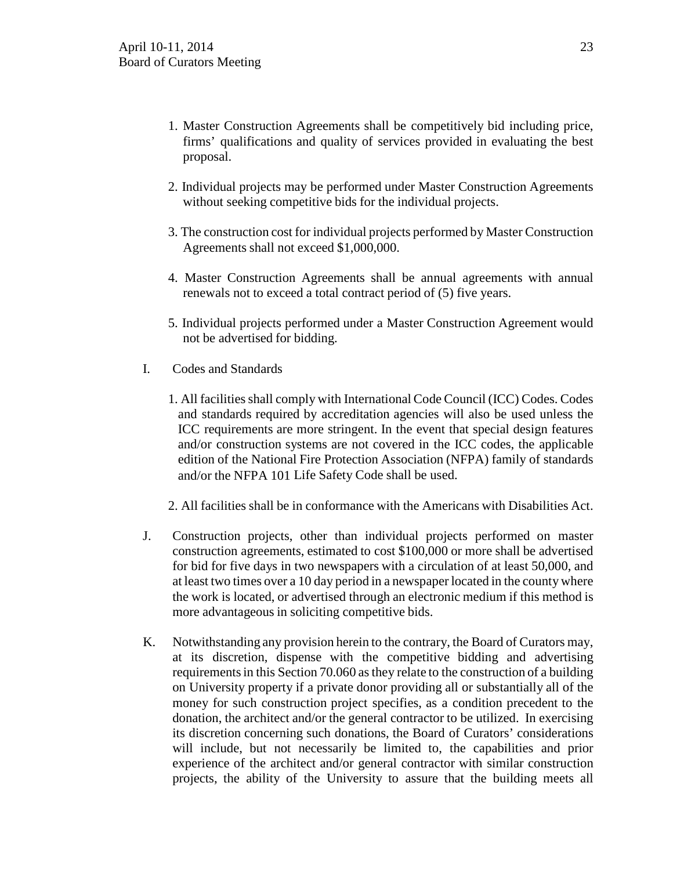- 1. Master Construction Agreements shall be competitively bid including price, firms' qualifications and quality of services provided in evaluating the best proposal.
- 2. Individual projects may be performed under Master Construction Agreements without seeking competitive bids for the individual projects.
- 3. The construction cost for individual projects performed by Master Construction Agreements shall not exceed \$1,000,000.
- 4. Master Construction Agreements shall be annual agreements with annual renewals not to exceed a total contract period of (5) five years.
- 5. Individual projects performed under a Master Construction Agreement would not be advertised for bidding.
- I. Codes and Standards
	- 1. All facilities shall comply with International Code Council (ICC) Codes. Codes and standards required by accreditation agencies will also be used unless the ICC requirements are more stringent. In the event that special design features and/or construction systems are not covered in the ICC codes, the applicable edition of the National Fire Protection Association (NFPA) family of standards and/or the NFPA 101 Life Safety Code shall be used.

2. All facilities shall be in conformance with the Americans with Disabilities Act.

- J. Construction projects, other than individual projects performed on master construction agreements, estimated to cost \$100,000 or more shall be advertised for bid for five days in two newspapers with a circulation of at least 50,000, and at least two times over a 10 day period in a newspaper located in the county where the work is located, or advertised through an electronic medium if this method is more advantageous in soliciting competitive bids.
- K. Notwithstanding any provision herein to the contrary, the Board of Curators may, at its discretion, dispense with the competitive bidding and advertising requirements in this Section 70.060 as they relate to the construction of a building on University property if a private donor providing all or substantially all of the money for such construction project specifies, as a condition precedent to the donation, the architect and/or the general contractor to be utilized. In exercising its discretion concerning such donations, the Board of Curators' considerations will include, but not necessarily be limited to, the capabilities and prior experience of the architect and/or general contractor with similar construction projects, the ability of the University to assure that the building meets all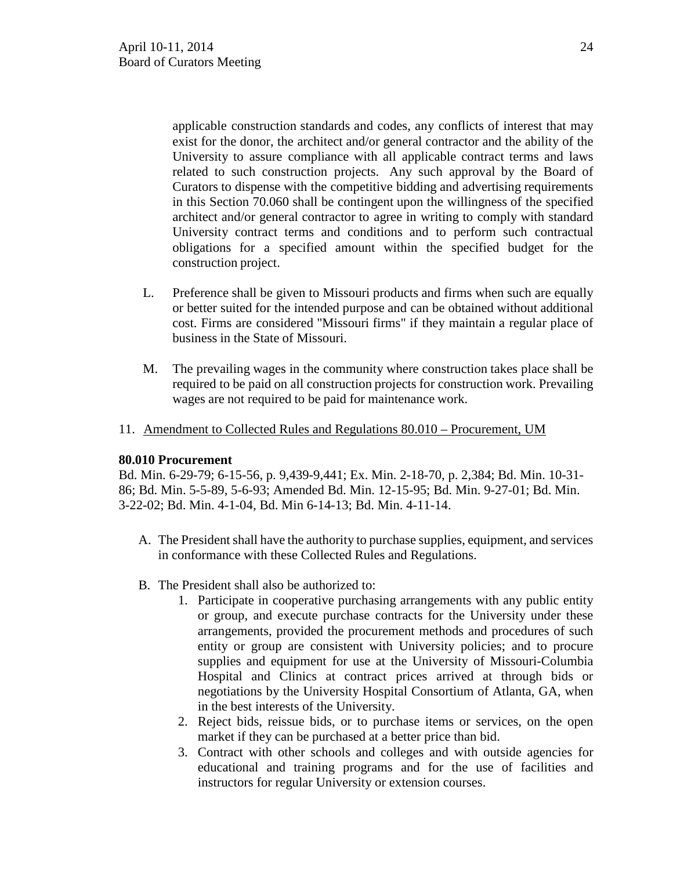applicable construction standards and codes, any conflicts of interest that may exist for the donor, the architect and/or general contractor and the ability of the University to assure compliance with all applicable contract terms and laws related to such construction projects. Any such approval by the Board of Curators to dispense with the competitive bidding and advertising requirements in this Section 70.060 shall be contingent upon the willingness of the specified architect and/or general contractor to agree in writing to comply with standard University contract terms and conditions and to perform such contractual obligations for a specified amount within the specified budget for the construction project.

- L. Preference shall be given to Missouri products and firms when such are equally or better suited for the intended purpose and can be obtained without additional cost. Firms are considered "Missouri firms" if they maintain a regular place of business in the State of Missouri.
- M. The prevailing wages in the community where construction takes place shall be required to be paid on all construction projects for construction work. Prevailing wages are not required to be paid for maintenance work.
- 11. Amendment to Collected Rules and Regulations 80.010 Procurement, UM

## **80.010 Procurement**

Bd. Min. 6-29-79; 6-15-56, p. 9,439-9,441; Ex. Min. 2-18-70, p. 2,384; Bd. Min. 10-31- 86; Bd. Min. 5-5-89, 5-6-93; Amended Bd. Min. 12-15-95; Bd. Min. 9-27-01; Bd. Min. 3-22-02; Bd. Min. 4-1-04, Bd. Min 6-14-13; Bd. Min. 4-11-14.

- A. The President shall have the authority to purchase supplies, equipment, and services in conformance with these Collected Rules and Regulations.
- B. The President shall also be authorized to:
	- 1. Participate in cooperative purchasing arrangements with any public entity or group, and execute purchase contracts for the University under these arrangements, provided the procurement methods and procedures of such entity or group are consistent with University policies; and to procure supplies and equipment for use at the University of Missouri-Columbia Hospital and Clinics at contract prices arrived at through bids or negotiations by the University Hospital Consortium of Atlanta, GA, when in the best interests of the University.
	- 2. Reject bids, reissue bids, or to purchase items or services, on the open market if they can be purchased at a better price than bid.
	- 3. Contract with other schools and colleges and with outside agencies for educational and training programs and for the use of facilities and instructors for regular University or extension courses.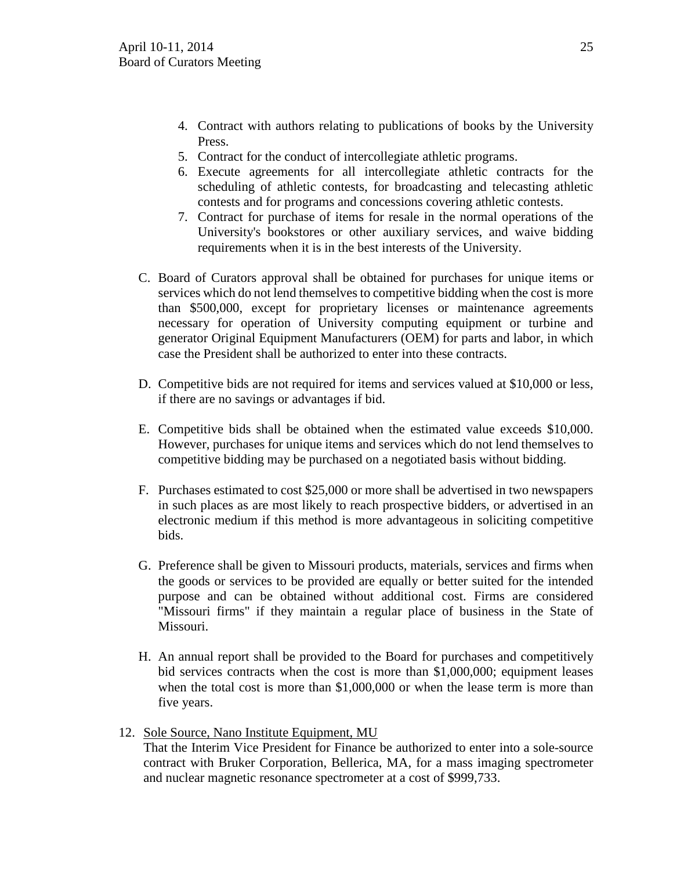- 4. Contract with authors relating to publications of books by the University Press.
- 5. Contract for the conduct of intercollegiate athletic programs.
- 6. Execute agreements for all intercollegiate athletic contracts for the scheduling of athletic contests, for broadcasting and telecasting athletic contests and for programs and concessions covering athletic contests.
- 7. Contract for purchase of items for resale in the normal operations of the University's bookstores or other auxiliary services, and waive bidding requirements when it is in the best interests of the University.
- C. Board of Curators approval shall be obtained for purchases for unique items or services which do not lend themselves to competitive bidding when the cost is more than \$500,000, except for proprietary licenses or maintenance agreements necessary for operation of University computing equipment or turbine and generator Original Equipment Manufacturers (OEM) for parts and labor, in which case the President shall be authorized to enter into these contracts.
- D. Competitive bids are not required for items and services valued at \$10,000 or less, if there are no savings or advantages if bid.
- E. Competitive bids shall be obtained when the estimated value exceeds \$10,000. However, purchases for unique items and services which do not lend themselves to competitive bidding may be purchased on a negotiated basis without bidding.
- F. Purchases estimated to cost \$25,000 or more shall be advertised in two newspapers in such places as are most likely to reach prospective bidders, or advertised in an electronic medium if this method is more advantageous in soliciting competitive bids.
- G. Preference shall be given to Missouri products, materials, services and firms when the goods or services to be provided are equally or better suited for the intended purpose and can be obtained without additional cost. Firms are considered "Missouri firms" if they maintain a regular place of business in the State of Missouri.
- H. An annual report shall be provided to the Board for purchases and competitively bid services contracts when the cost is more than \$1,000,000; equipment leases when the total cost is more than \$1,000,000 or when the lease term is more than five years.
- 12. Sole Source, Nano Institute Equipment, MU

That the Interim Vice President for Finance be authorized to enter into a sole-source contract with Bruker Corporation, Bellerica, MA, for a mass imaging spectrometer and nuclear magnetic resonance spectrometer at a cost of \$999,733.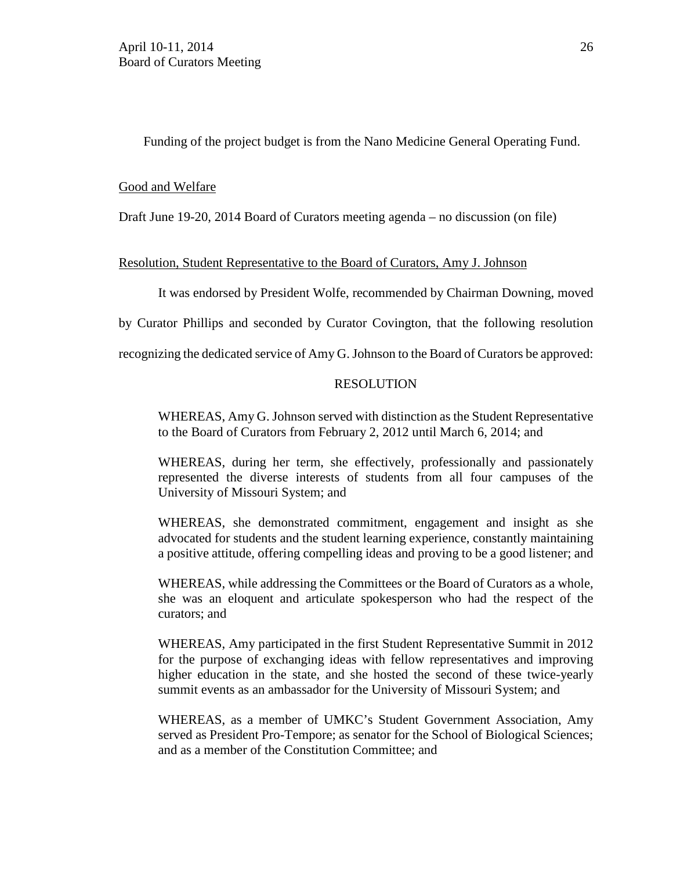Funding of the project budget is from the Nano Medicine General Operating Fund.

## Good and Welfare

Draft June 19-20, 2014 Board of Curators meeting agenda – no discussion (on file)

## Resolution, Student Representative to the Board of Curators, Amy J. Johnson

It was endorsed by President Wolfe, recommended by Chairman Downing, moved

by Curator Phillips and seconded by Curator Covington, that the following resolution

recognizing the dedicated service of Amy G. Johnson to the Board of Curators be approved:

## RESOLUTION

WHEREAS, Amy G. Johnson served with distinction as the Student Representative to the Board of Curators from February 2, 2012 until March 6, 2014; and

WHEREAS, during her term, she effectively, professionally and passionately represented the diverse interests of students from all four campuses of the University of Missouri System; and

WHEREAS, she demonstrated commitment, engagement and insight as she advocated for students and the student learning experience, constantly maintaining a positive attitude, offering compelling ideas and proving to be a good listener; and

WHEREAS, while addressing the Committees or the Board of Curators as a whole, she was an eloquent and articulate spokesperson who had the respect of the curators; and

WHEREAS, Amy participated in the first Student Representative Summit in 2012 for the purpose of exchanging ideas with fellow representatives and improving higher education in the state, and she hosted the second of these twice-yearly summit events as an ambassador for the University of Missouri System; and

WHEREAS, as a member of UMKC's Student Government Association, Amy served as President Pro-Tempore; as senator for the School of Biological Sciences; and as a member of the Constitution Committee; and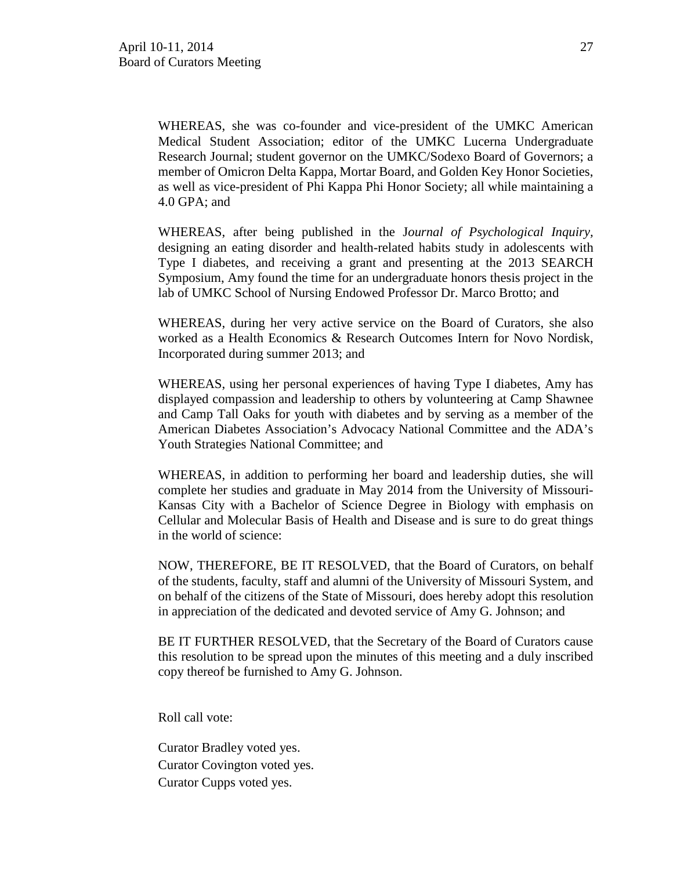WHEREAS, she was co-founder and vice-president of the UMKC American Medical Student Association; editor of the UMKC Lucerna Undergraduate Research Journal; student governor on the UMKC/Sodexo Board of Governors; a member of Omicron Delta Kappa, Mortar Board, and Golden Key Honor Societies, as well as vice-president of Phi Kappa Phi Honor Society; all while maintaining a 4.0 GPA; and

WHEREAS, after being published in the J*ournal of Psychological Inquiry,*  designing an eating disorder and health-related habits study in adolescents with Type I diabetes, and receiving a grant and presenting at the 2013 SEARCH Symposium, Amy found the time for an undergraduate honors thesis project in the lab of UMKC School of Nursing Endowed Professor Dr. Marco Brotto; and

WHEREAS, during her very active service on the Board of Curators, she also worked as a Health Economics & Research Outcomes Intern for Novo Nordisk, Incorporated during summer 2013; and

WHEREAS, using her personal experiences of having Type I diabetes, Amy has displayed compassion and leadership to others by volunteering at Camp Shawnee and Camp Tall Oaks for youth with diabetes and by serving as a member of the American Diabetes Association's Advocacy National Committee and the ADA's Youth Strategies National Committee; and

WHEREAS, in addition to performing her board and leadership duties, she will complete her studies and graduate in May 2014 from the University of Missouri-Kansas City with a Bachelor of Science Degree in Biology with emphasis on Cellular and Molecular Basis of Health and Disease and is sure to do great things in the world of science:

NOW, THEREFORE, BE IT RESOLVED, that the Board of Curators, on behalf of the students, faculty, staff and alumni of the University of Missouri System, and on behalf of the citizens of the State of Missouri, does hereby adopt this resolution in appreciation of the dedicated and devoted service of Amy G. Johnson; and

BE IT FURTHER RESOLVED, that the Secretary of the Board of Curators cause this resolution to be spread upon the minutes of this meeting and a duly inscribed copy thereof be furnished to Amy G. Johnson.

Roll call vote:

Curator Bradley voted yes. Curator Covington voted yes. Curator Cupps voted yes.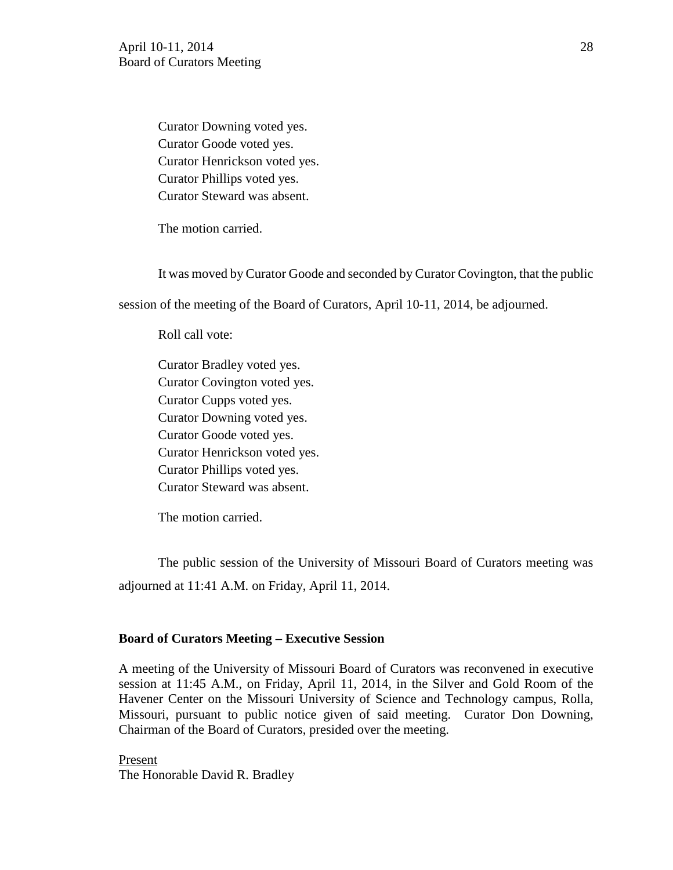Curator Downing voted yes. Curator Goode voted yes. Curator Henrickson voted yes. Curator Phillips voted yes. Curator Steward was absent.

The motion carried.

It was moved by Curator Goode and seconded by Curator Covington, that the public

session of the meeting of the Board of Curators, April 10-11, 2014, be adjourned.

Roll call vote:

Curator Bradley voted yes. Curator Covington voted yes. Curator Cupps voted yes. Curator Downing voted yes. Curator Goode voted yes. Curator Henrickson voted yes. Curator Phillips voted yes. Curator Steward was absent.

The motion carried.

The public session of the University of Missouri Board of Curators meeting was adjourned at 11:41 A.M. on Friday, April 11, 2014.

#### **Board of Curators Meeting – Executive Session**

A meeting of the University of Missouri Board of Curators was reconvened in executive session at 11:45 A.M., on Friday, April 11, 2014, in the Silver and Gold Room of the Havener Center on the Missouri University of Science and Technology campus, Rolla, Missouri, pursuant to public notice given of said meeting. Curator Don Downing, Chairman of the Board of Curators, presided over the meeting.

Present The Honorable David R. Bradley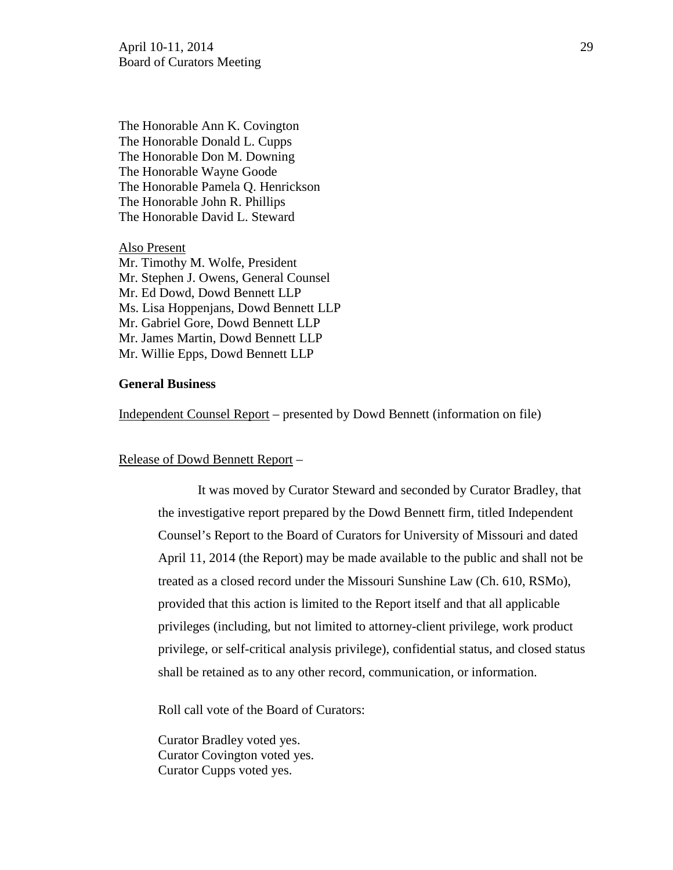The Honorable Ann K. Covington The Honorable Donald L. Cupps The Honorable Don M. Downing The Honorable Wayne Goode The Honorable Pamela Q. Henrickson The Honorable John R. Phillips The Honorable David L. Steward

Also Present Mr. Timothy M. Wolfe, President Mr. Stephen J. Owens, General Counsel Mr. Ed Dowd, Dowd Bennett LLP Ms. Lisa Hoppenjans, Dowd Bennett LLP Mr. Gabriel Gore, Dowd Bennett LLP Mr. James Martin, Dowd Bennett LLP Mr. Willie Epps, Dowd Bennett LLP

### **General Business**

Independent Counsel Report – presented by Dowd Bennett (information on file)

## Release of Dowd Bennett Report –

It was moved by Curator Steward and seconded by Curator Bradley, that the investigative report prepared by the Dowd Bennett firm, titled Independent Counsel's Report to the Board of Curators for University of Missouri and dated April 11, 2014 (the Report) may be made available to the public and shall not be treated as a closed record under the Missouri Sunshine Law (Ch. 610, RSMo), provided that this action is limited to the Report itself and that all applicable privileges (including, but not limited to attorney-client privilege, work product privilege, or self-critical analysis privilege), confidential status, and closed status shall be retained as to any other record, communication, or information.

Roll call vote of the Board of Curators:

Curator Bradley voted yes. Curator Covington voted yes. Curator Cupps voted yes.